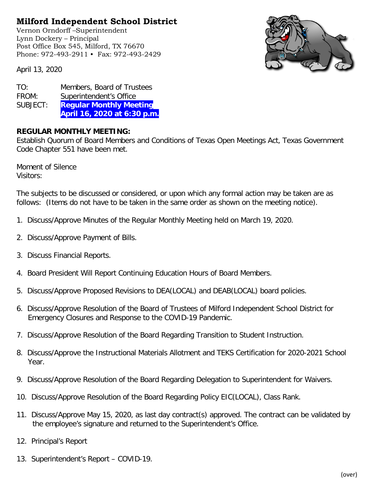## **Milford Independent School District**

Vernon Orndorff –Superintendent Lynn Dockery – Principal Post Office Box 545, Milford, TX 76670 Phone: 972-493-2911 • Fax: 972-493-2429



April 13, 2020

TO: Members, Board of Trustees FROM: Superintendent's Office SUBJECT: **Regular Monthly Meeting April 16, 2020 at 6:30 p.m.**

## **REGULAR MONTHLY MEETING:**

Establish Quorum of Board Members and Conditions of Texas Open Meetings Act, Texas Government Code Chapter 551 have been met.

Moment of Silence Visitors:

The subjects to be discussed or considered, or upon which any formal action may be taken are as follows: (Items do not have to be taken in the same order as shown on the meeting notice).

- 1. Discuss/Approve Minutes of the Regular Monthly Meeting held on March 19, 2020.
- 2. Discuss/Approve Payment of Bills.
- 3. Discuss Financial Reports.
- 4. Board President Will Report Continuing Education Hours of Board Members.
- 5. Discuss/Approve Proposed Revisions to DEA(LOCAL) and DEAB(LOCAL) board policies.
- 6. Discuss/Approve Resolution of the Board of Trustees of Milford Independent School District for Emergency Closures and Response to the COVID-19 Pandemic.
- 7. Discuss/Approve Resolution of the Board Regarding Transition to Student Instruction.
- 8. Discuss/Approve the Instructional Materials Allotment and TEKS Certification for 2020-2021 School Year.
- 9. Discuss/Approve Resolution of the Board Regarding Delegation to Superintendent for Waivers.
- 10. Discuss/Approve Resolution of the Board Regarding Policy EIC(LOCAL), Class Rank.
- 11. Discuss/Approve May 15, 2020, as last day contract(s) approved. The contract can be validated by the employee's signature and returned to the Superintendent's Office.
- 12. Principal's Report
- 13. Superintendent's Report COVID-19.